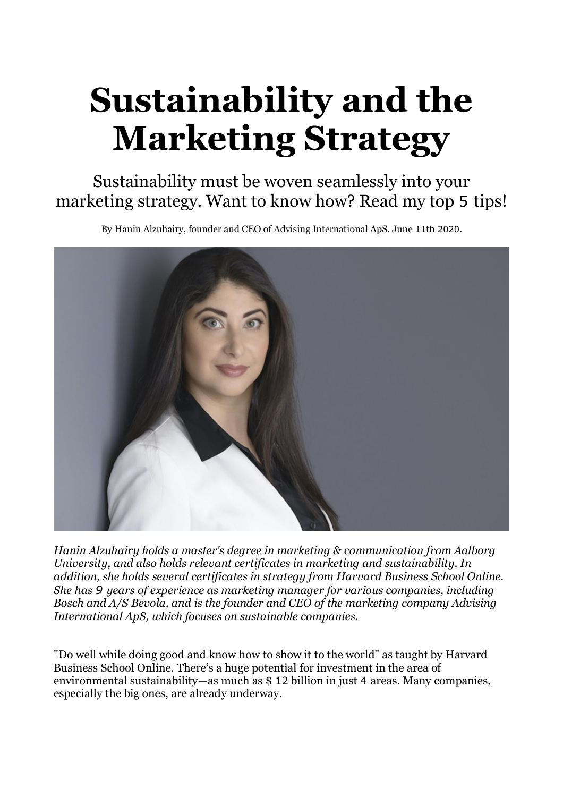# **Sustainability and the Marketing Strategy**

Sustainability must be woven seamlessly into your marketing strategy. Want to know how? Read my top 5 tips!

By Hanin Alzuhairy, founder and CEO of Advising International ApS. June 11th 2020.



*Hanin Alzuhairy holds a master's degree in marketing & communication from Aalborg University, and also holds relevant certificates in marketing and sustainability. In addition, she holds several certificates in strategy from Harvard Business School Online. She has 9 years of experience as marketing manager for various companies, including Bosch and A/S Bevola, and is the founder and CEO of the marketing company Advising International ApS, which focuses on sustainable companies.*

"Do well while doing good and know how to show it to the world" as taught by Harvard Business School Online. There's a huge potential for investment in the area of environmental sustainability—as much as \$ 12 billion in just 4 areas. Many companies, especially the big ones, are already underway.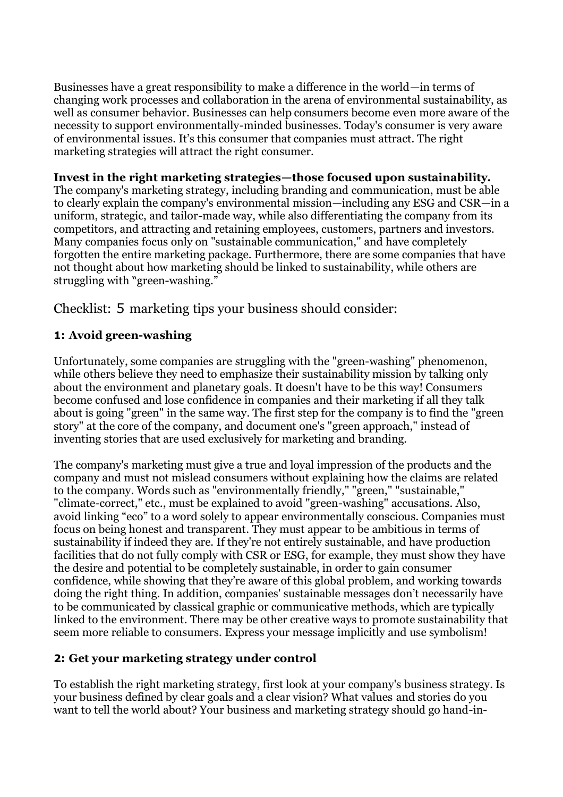Businesses have a great responsibility to make a difference in the world—in terms of changing work processes and collaboration in the arena of environmental sustainability, as well as consumer behavior. Businesses can help consumers become even more aware of the necessity to support environmentally-minded businesses. Today's consumer is very aware of environmental issues. It's this consumer that companies must attract. The right marketing strategies will attract the right consumer.

## **Invest in the right marketing strategies—those focused upon sustainability.**

The company's marketing strategy, including branding and communication, must be able to clearly explain the company's environmental mission—including any ESG and CSR—in a uniform, strategic, and tailor-made way, while also differentiating the company from its competitors, and attracting and retaining employees, customers, partners and investors. Many companies focus only on "sustainable communication," and have completely forgotten the entire marketing package. Furthermore, there are some companies that have not thought about how marketing should be linked to sustainability, while others are struggling with "green-washing."

Checklist: 5 marketing tips your business should consider:

# **1: Avoid green-washing**

Unfortunately, some companies are struggling with the "green-washing" phenomenon, while others believe they need to emphasize their sustainability mission by talking only about the environment and planetary goals. It doesn't have to be this way! Consumers become confused and lose confidence in companies and their marketing if all they talk about is going "green" in the same way. The first step for the company is to find the "green story" at the core of the company, and document one's "green approach," instead of inventing stories that are used exclusively for marketing and branding.

The company's marketing must give a true and loyal impression of the products and the company and must not mislead consumers without explaining how the claims are related to the company. Words such as "environmentally friendly," "green," "sustainable," "climate-correct," etc., must be explained to avoid "green-washing" accusations. Also, avoid linking "eco" to a word solely to appear environmentally conscious. Companies must focus on being honest and transparent. They must appear to be ambitious in terms of sustainability if indeed they are. If they're not entirely sustainable, and have production facilities that do not fully comply with CSR or ESG, for example, they must show they have the desire and potential to be completely sustainable, in order to gain consumer confidence, while showing that they're aware of this global problem, and working towards doing the right thing. In addition, companies' sustainable messages don't necessarily have to be communicated by classical graphic or communicative methods, which are typically linked to the environment. There may be other creative ways to promote sustainability that seem more reliable to consumers. Express your message implicitly and use symbolism!

# **2: Get your marketing strategy under control**

To establish the right marketing strategy, first look at your company's business strategy. Is your business defined by clear goals and a clear vision? What values and stories do you want to tell the world about? Your business and marketing strategy should go hand-in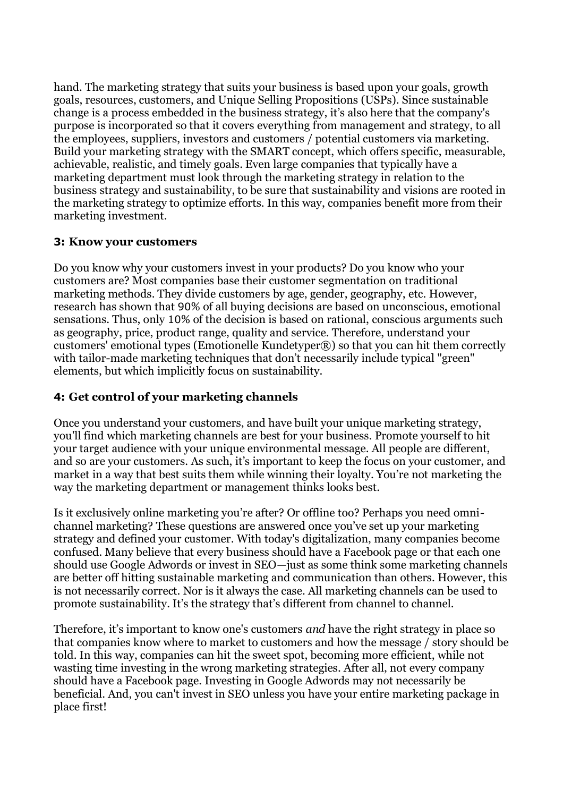hand. The marketing strategy that suits your business is based upon your goals, growth goals, resources, customers, and Unique Selling Propositions (USPs). Since sustainable change is a process embedded in the business strategy, it's also here that the company's purpose is incorporated so that it covers everything from management and strategy, to all the employees, suppliers, investors and customers / potential customers via marketing. Build your marketing strategy with the SMART concept, which offers specific, measurable, achievable, realistic, and timely goals. Even large companies that typically have a marketing department must look through the marketing strategy in relation to the business strategy and sustainability, to be sure that sustainability and visions are rooted in the marketing strategy to optimize efforts. In this way, companies benefit more from their marketing investment.

## **3: Know your customers**

Do you know why your customers invest in your products? Do you know who your customers are? Most companies base their customer segmentation on traditional marketing methods. They divide customers by age, gender, geography, etc. However, research has shown that 90% of all buying decisions are based on unconscious, emotional sensations. Thus, only 10% of the decision is based on rational, conscious arguments such as geography, price, product range, quality and service. Therefore, understand your customers' emotional types (Emotionelle Kundetyper®) so that you can hit them correctly with tailor-made marketing techniques that don't necessarily include typical "green" elements, but which implicitly focus on sustainability.

## **4: Get control of your marketing channels**

Once you understand your customers, and have built your unique marketing strategy, you'll find which marketing channels are best for your business. Promote yourself to hit your target audience with your unique environmental message. All people are different, and so are your customers. As such, it's important to keep the focus on your customer, and market in a way that best suits them while winning their loyalty. You're not marketing the way the marketing department or management thinks looks best.

Is it exclusively online marketing you're after? Or offline too? Perhaps you need omnichannel marketing? These questions are answered once you've set up your marketing strategy and defined your customer. With today's digitalization, many companies become confused. Many believe that every business should have a Facebook page or that each one should use Google Adwords or invest in SEO—just as some think some marketing channels are better off hitting sustainable marketing and communication than others. However, this is not necessarily correct. Nor is it always the case. All marketing channels can be used to promote sustainability. It's the strategy that's different from channel to channel.

Therefore, it's important to know one's customers *and* have the right strategy in place so that companies know where to market to customers and how the message / story should be told. In this way, companies can hit the sweet spot, becoming more efficient, while not wasting time investing in the wrong marketing strategies. After all, not every company should have a Facebook page. Investing in Google Adwords may not necessarily be beneficial. And, you can't invest in SEO unless you have your entire marketing package in place first!